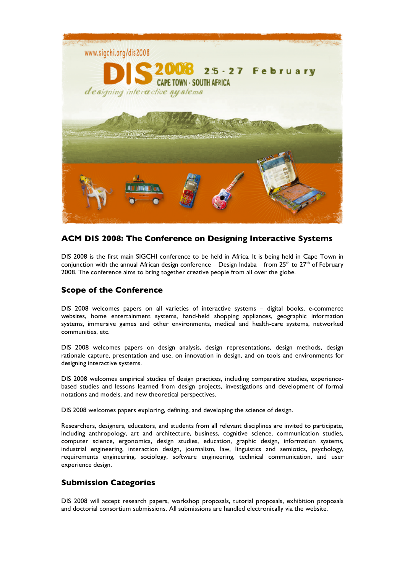

# **ACM DIS 2008: The Conference on Designing Interactive Systems**

DIS 2008 is the first main SIGCHI conference to be held in Africa. It is being held in Cape Town in conjunction with the annual African design conference – Design Indaba – from  $25<sup>th</sup>$  to  $27<sup>th</sup>$  of February 2008. The conference aims to bring together creative people from all over the globe.

## **Scope of the Conference**

DIS 2008 welcomes papers on all varieties of interactive systems – digital books, e-commerce websites, home entertainment systems, hand-held shopping appliances, geographic information systems, immersive games and other environments, medical and health-care systems, networked communities, etc.

DIS 2008 welcomes papers on design analysis, design representations, design methods, design rationale capture, presentation and use, on innovation in design, and on tools and environments for designing interactive systems.

DIS 2008 welcomes empirical studies of design practices, including comparative studies, experiencebased studies and lessons learned from design projects, investigations and development of formal notations and models, and new theoretical perspectives.

DIS 2008 welcomes papers exploring, defining, and developing the science of design.

Researchers, designers, educators, and students from all relevant disciplines are invited to participate, including anthropology, art and architecture, business, cognitive science, communication studies, computer science, ergonomics, design studies, education, graphic design, information systems, industrial engineering, interaction design, journalism, law, linguistics and semiotics, psychology, requirements engineering, sociology, software engineering, technical communication, and user experience design.

## **Submission Categories**

DIS 2008 will accept research papers, workshop proposals, tutorial proposals, exhibition proposals and doctorial consortium submissions. All submissions are handled electronically via the website.